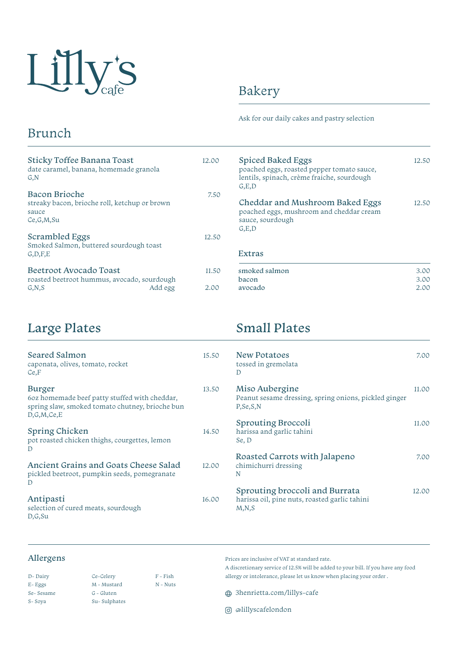

# Bakery

Spiced Baked Eggs

Ask for our daily cakes and pastry selection

poached eggs, roasted pepper tomato sauce, lentils, spinach, crème fraiche, sourdough

Cheddar and Mushroom Baked Eggs poached eggs, mushroom and cheddar cream

## Brunch

| Sticky Toffee Banana Toast<br>date caramel, banana, homemade granola<br>G, N         |         | 12.00 |
|--------------------------------------------------------------------------------------|---------|-------|
| Bacon Brioche<br>streaky bacon, brioche roll, ketchup or brown<br>sauce<br>Ce.G.M.Su |         | 7.50  |
| Scrambled Eggs<br>Smoked Salmon, buttered sourdough toast<br>G, D, F, E              |         | 12.50 |
| Beetroot Avocado Toast<br>roasted beetroot hummus, avocado, sourdough                |         | 11.50 |
| G, N, S                                                                              | Add egg | 2.00  |

#### Extras

sauce, sourdough

G,E,D

G,E,D

| smoked salmon | 3.00 |
|---------------|------|
| bacon         | 3.00 |
| avocado       | 2.00 |
|               |      |

12.50

12.50

# Large Plates

#### 15. 13. 14.50 12.00 16. Ancient Grains and Goats Cheese Salad pickled beetroot, pumpkin seeds, pomegranate D Antipasti selection of cured meats, sourdough D,G,Su Burger 6oz homemade beef patty stuffed with cheddar, spring slaw, smoked tomato chutney, brioche bun D,G,M,Ce,E Spring Chicken pot roasted chicken thighs, courgettes, lemon D Seared Salmon caponata, olives, tomato, rocket Ce,F

## Small Plates

| .50         | <b>New Potatoes</b><br>tossed in gremolata<br>Ð                                            | 7.00  |
|-------------|--------------------------------------------------------------------------------------------|-------|
| .50         | Miso Aubergine<br>Peanut sesame dressing, spring onions, pickled ginger<br>P, Se, S, N     | 11.00 |
| .50         | Sprouting Broccoli<br>harissa and garlic tahini<br>Se, D                                   | 11.00 |
| $00\degree$ | Roasted Carrots with Jalapeno<br>chimichurri dressing<br>N                                 | 7.00  |
| 00          | Sprouting broccoli and Burrata<br>harissa oil, pine nuts, roasted garlic tahini<br>M, N, S | 12.00 |

### Allergens

| D-Dairy   | Ce-Celery    | $F - Fish$ |
|-----------|--------------|------------|
| E-Eggs    | M - Mustard  | N - Nuts   |
| Se-Sesame | G - Gluten   |            |
| S-Soya    | Su-Sulphates |            |

Prices are inclusive of VAT at standard rate.

A discretionary service of 12.5% will be added to your bill. If you have any food allergy or intolerance, please let us know when placing your order .

3henrietta.com/lillys-cafe

@lillyscafelondon